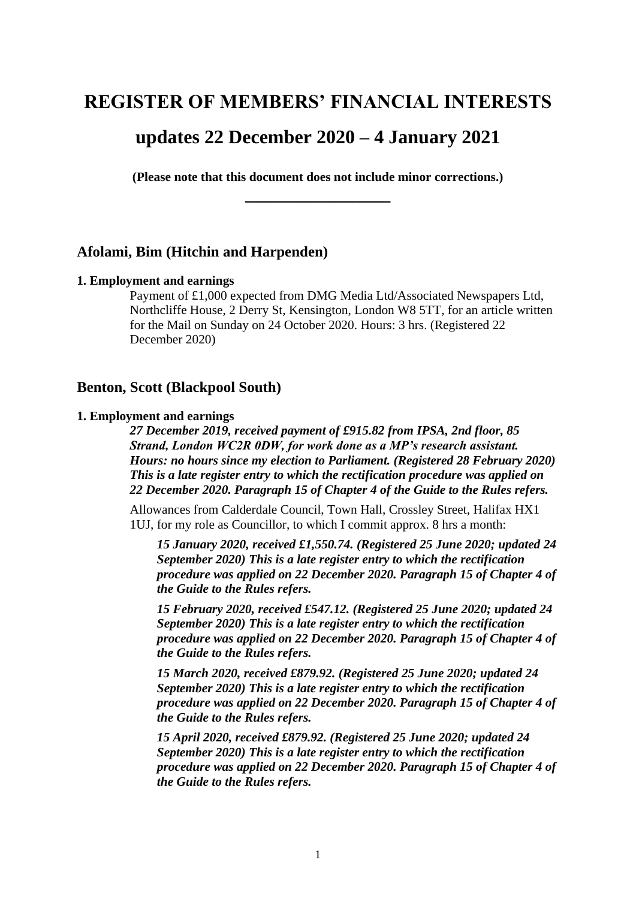# **REGISTER OF MEMBERS' FINANCIAL INTERESTS**

# **updates 22 December 2020 – 4 January 2021**

**(Please note that this document does not include minor corrections.) \_\_\_\_\_\_\_\_\_\_\_\_\_\_\_\_\_**

# **Afolami, Bim (Hitchin and Harpenden)**

#### **1. Employment and earnings**

Payment of £1,000 expected from DMG Media Ltd/Associated Newspapers Ltd, Northcliffe House, 2 Derry St, Kensington, London W8 5TT, for an article written for the Mail on Sunday on 24 October 2020. Hours: 3 hrs. (Registered 22 December 2020)

## **Benton, Scott (Blackpool South)**

## **1. Employment and earnings**

*27 December 2019, received payment of £915.82 from IPSA, 2nd floor, 85 Strand, London WC2R 0DW, for work done as a MP's research assistant. Hours: no hours since my election to Parliament. (Registered 28 February 2020) This is a late register entry to which the rectification procedure was applied on 22 December 2020. Paragraph 15 of Chapter 4 of the Guide to the Rules refers.*

Allowances from Calderdale Council, Town Hall, Crossley Street, Halifax HX1 1UJ, for my role as Councillor, to which I commit approx. 8 hrs a month:

*15 January 2020, received £1,550.74. (Registered 25 June 2020; updated 24 September 2020) This is a late register entry to which the rectification procedure was applied on 22 December 2020. Paragraph 15 of Chapter 4 of the Guide to the Rules refers.*

*15 February 2020, received £547.12. (Registered 25 June 2020; updated 24 September 2020) This is a late register entry to which the rectification procedure was applied on 22 December 2020. Paragraph 15 of Chapter 4 of the Guide to the Rules refers.*

*15 March 2020, received £879.92. (Registered 25 June 2020; updated 24 September 2020) This is a late register entry to which the rectification procedure was applied on 22 December 2020. Paragraph 15 of Chapter 4 of the Guide to the Rules refers.*

*15 April 2020, received £879.92. (Registered 25 June 2020; updated 24 September 2020) This is a late register entry to which the rectification procedure was applied on 22 December 2020. Paragraph 15 of Chapter 4 of the Guide to the Rules refers.*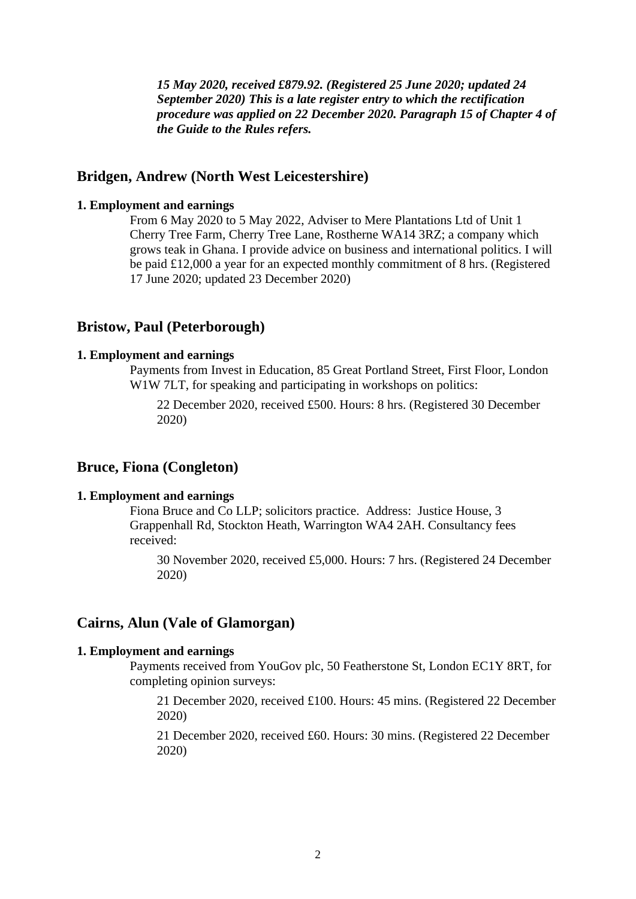*15 May 2020, received £879.92. (Registered 25 June 2020; updated 24 September 2020) This is a late register entry to which the rectification procedure was applied on 22 December 2020. Paragraph 15 of Chapter 4 of the Guide to the Rules refers.*

## **Bridgen, Andrew (North West Leicestershire)**

# **1. Employment and earnings**

From 6 May 2020 to 5 May 2022, Adviser to Mere Plantations Ltd of Unit 1 Cherry Tree Farm, Cherry Tree Lane, Rostherne WA14 3RZ; a company which grows teak in Ghana. I provide advice on business and international politics. I will be paid £12,000 a year for an expected monthly commitment of 8 hrs. (Registered 17 June 2020; updated 23 December 2020)

## **Bristow, Paul (Peterborough)**

### **1. Employment and earnings**

Payments from Invest in Education, 85 Great Portland Street, First Floor, London W1W 7LT, for speaking and participating in workshops on politics:

22 December 2020, received £500. Hours: 8 hrs. (Registered 30 December 2020)

# **Bruce, Fiona (Congleton)**

#### **1. Employment and earnings**

Fiona Bruce and Co LLP; solicitors practice. Address: Justice House, 3 Grappenhall Rd, Stockton Heath, Warrington WA4 2AH. Consultancy fees received:

30 November 2020, received £5,000. Hours: 7 hrs. (Registered 24 December 2020)

#### **Cairns, Alun (Vale of Glamorgan)**

#### **1. Employment and earnings**

Payments received from YouGov plc, 50 Featherstone St, London EC1Y 8RT, for completing opinion surveys:

21 December 2020, received £100. Hours: 45 mins. (Registered 22 December 2020)

21 December 2020, received £60. Hours: 30 mins. (Registered 22 December 2020)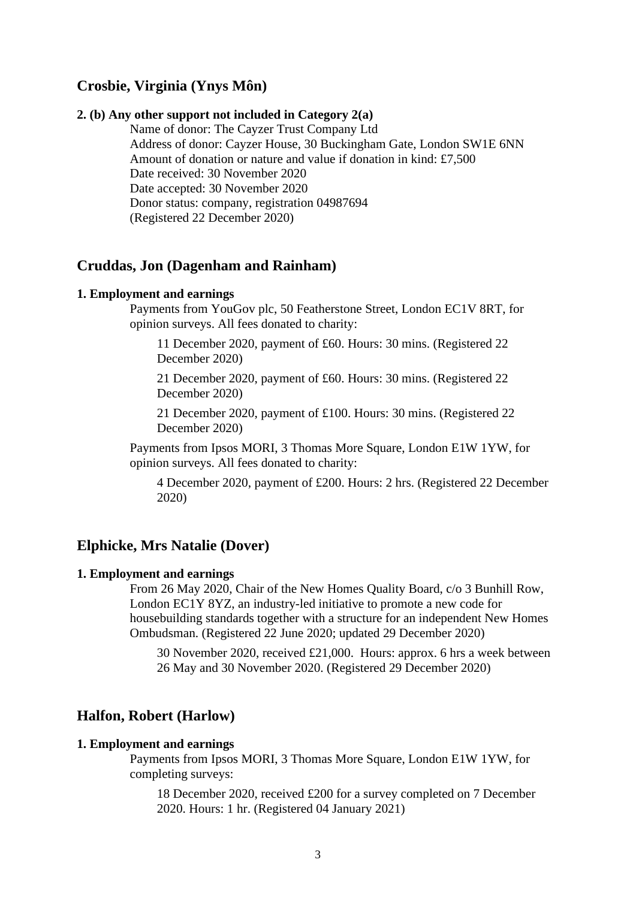# **Crosbie, Virginia (Ynys Môn)**

#### **2. (b) Any other support not included in Category 2(a)**

Name of donor: The Cayzer Trust Company Ltd Address of donor: Cayzer House, 30 Buckingham Gate, London SW1E 6NN Amount of donation or nature and value if donation in kind: £7,500 Date received: 30 November 2020 Date accepted: 30 November 2020 Donor status: company, registration 04987694 (Registered 22 December 2020)

# **Cruddas, Jon (Dagenham and Rainham)**

#### **1. Employment and earnings**

Payments from YouGov plc, 50 Featherstone Street, London EC1V 8RT, for opinion surveys. All fees donated to charity:

11 December 2020, payment of £60. Hours: 30 mins. (Registered 22 December 2020)

21 December 2020, payment of £60. Hours: 30 mins. (Registered 22 December 2020)

21 December 2020, payment of £100. Hours: 30 mins. (Registered 22 December 2020)

Payments from Ipsos MORI, 3 Thomas More Square, London E1W 1YW, for opinion surveys. All fees donated to charity:

4 December 2020, payment of £200. Hours: 2 hrs. (Registered 22 December 2020)

## **Elphicke, Mrs Natalie (Dover)**

#### **1. Employment and earnings**

From 26 May 2020, Chair of the New Homes Quality Board, c/o 3 Bunhill Row, London EC1Y 8YZ, an industry-led initiative to promote a new code for housebuilding standards together with a structure for an independent New Homes Ombudsman. (Registered 22 June 2020; updated 29 December 2020)

30 November 2020, received £21,000. Hours: approx. 6 hrs a week between 26 May and 30 November 2020. (Registered 29 December 2020)

# **Halfon, Robert (Harlow)**

#### **1. Employment and earnings**

Payments from Ipsos MORI, 3 Thomas More Square, London E1W 1YW, for completing surveys:

18 December 2020, received £200 for a survey completed on 7 December 2020. Hours: 1 hr. (Registered 04 January 2021)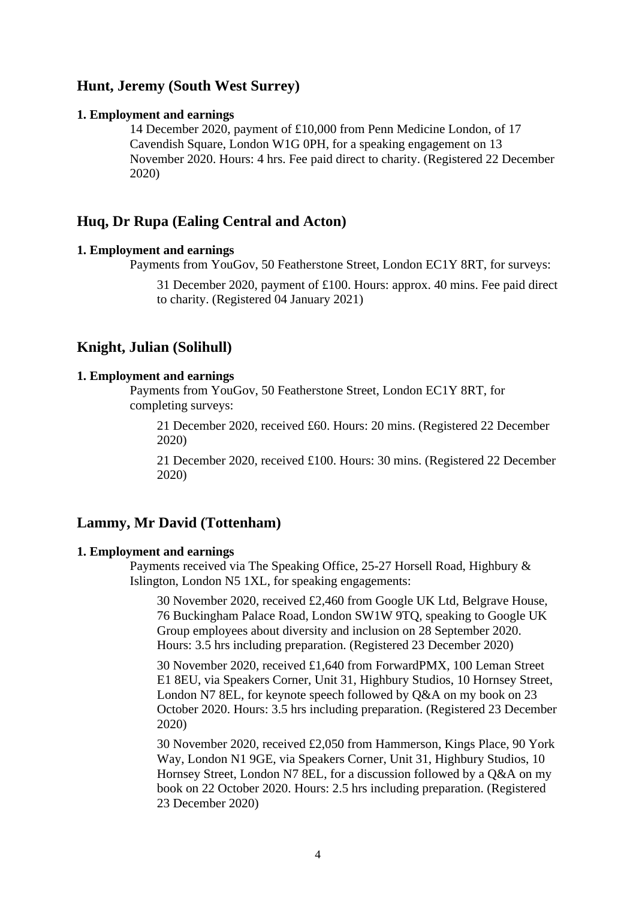# **Hunt, Jeremy (South West Surrey)**

#### **1. Employment and earnings**

14 December 2020, payment of £10,000 from Penn Medicine London, of 17 Cavendish Square, London W1G 0PH, for a speaking engagement on 13 November 2020. Hours: 4 hrs. Fee paid direct to charity. (Registered 22 December 2020)

# **Huq, Dr Rupa (Ealing Central and Acton)**

### **1. Employment and earnings**

Payments from YouGov, 50 Featherstone Street, London EC1Y 8RT, for surveys:

31 December 2020, payment of £100. Hours: approx. 40 mins. Fee paid direct to charity. (Registered 04 January 2021)

# **Knight, Julian (Solihull)**

### **1. Employment and earnings**

Payments from YouGov, 50 Featherstone Street, London EC1Y 8RT, for completing surveys:

21 December 2020, received £60. Hours: 20 mins. (Registered 22 December 2020)

21 December 2020, received £100. Hours: 30 mins. (Registered 22 December 2020)

# **Lammy, Mr David (Tottenham)**

#### **1. Employment and earnings**

Payments received via The Speaking Office, 25-27 Horsell Road, Highbury & Islington, London N5 1XL, for speaking engagements:

30 November 2020, received £2,460 from Google UK Ltd, Belgrave House, 76 Buckingham Palace Road, London SW1W 9TQ, speaking to Google UK Group employees about diversity and inclusion on 28 September 2020. Hours: 3.5 hrs including preparation. (Registered 23 December 2020)

30 November 2020, received £1,640 from ForwardPMX, 100 Leman Street E1 8EU, via Speakers Corner, Unit 31, Highbury Studios, 10 Hornsey Street, London N7 8EL, for keynote speech followed by Q&A on my book on 23 October 2020. Hours: 3.5 hrs including preparation. (Registered 23 December 2020)

30 November 2020, received £2,050 from Hammerson, Kings Place, 90 York Way, London N1 9GE, via Speakers Corner, Unit 31, Highbury Studios, 10 Hornsey Street, London N7 8EL, for a discussion followed by a Q&A on my book on 22 October 2020. Hours: 2.5 hrs including preparation. (Registered 23 December 2020)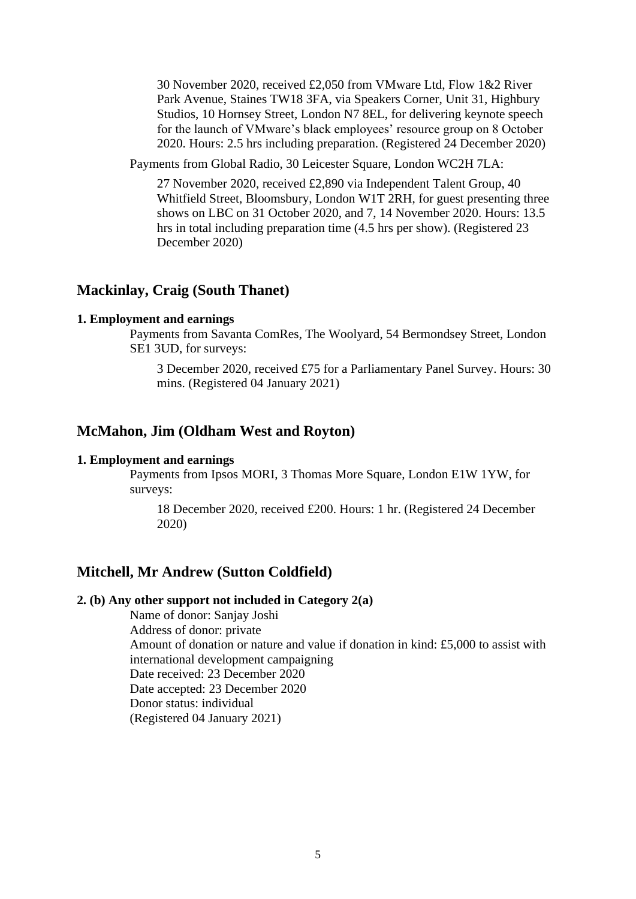30 November 2020, received £2,050 from VMware Ltd, Flow 1&2 River Park Avenue, Staines TW18 3FA, via Speakers Corner, Unit 31, Highbury Studios, 10 Hornsey Street, London N7 8EL, for delivering keynote speech for the launch of VMware's black employees' resource group on 8 October 2020. Hours: 2.5 hrs including preparation. (Registered 24 December 2020)

Payments from Global Radio, 30 Leicester Square, London WC2H 7LA:

27 November 2020, received £2,890 via Independent Talent Group, 40 Whitfield Street, Bloomsbury, London W1T 2RH, for guest presenting three shows on LBC on 31 October 2020, and 7, 14 November 2020. Hours: 13.5 hrs in total including preparation time (4.5 hrs per show). (Registered 23 December 2020)

# **Mackinlay, Craig (South Thanet)**

#### **1. Employment and earnings**

Payments from Savanta ComRes, The Woolyard, 54 Bermondsey Street, London SE1 3UD, for surveys:

3 December 2020, received £75 for a Parliamentary Panel Survey. Hours: 30 mins. (Registered 04 January 2021)

# **McMahon, Jim (Oldham West and Royton)**

#### **1. Employment and earnings**

Payments from Ipsos MORI, 3 Thomas More Square, London E1W 1YW, for surveys:

18 December 2020, received £200. Hours: 1 hr. (Registered 24 December 2020)

# **Mitchell, Mr Andrew (Sutton Coldfield)**

## **2. (b) Any other support not included in Category 2(a)**

Name of donor: Sanjay Joshi Address of donor: private Amount of donation or nature and value if donation in kind: £5,000 to assist with international development campaigning Date received: 23 December 2020 Date accepted: 23 December 2020 Donor status: individual (Registered 04 January 2021)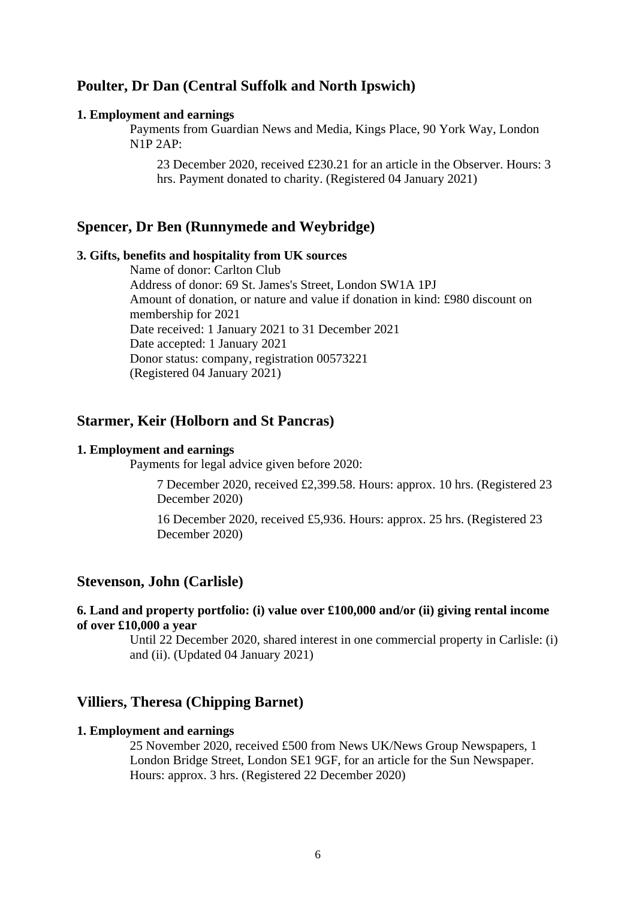# **Poulter, Dr Dan (Central Suffolk and North Ipswich)**

#### **1. Employment and earnings**

Payments from Guardian News and Media, Kings Place, 90 York Way, London N1P 2AP:

23 December 2020, received £230.21 for an article in the Observer. Hours: 3 hrs. Payment donated to charity. (Registered 04 January 2021)

## **Spencer, Dr Ben (Runnymede and Weybridge)**

#### **3. Gifts, benefits and hospitality from UK sources**

Name of donor: Carlton Club Address of donor: 69 St. James's Street, London SW1A 1PJ Amount of donation, or nature and value if donation in kind: £980 discount on membership for 2021 Date received: 1 January 2021 to 31 December 2021 Date accepted: 1 January 2021 Donor status: company, registration 00573221 (Registered 04 January 2021)

# **Starmer, Keir (Holborn and St Pancras)**

### **1. Employment and earnings**

Payments for legal advice given before 2020:

7 December 2020, received £2,399.58. Hours: approx. 10 hrs. (Registered 23 December 2020)

16 December 2020, received £5,936. Hours: approx. 25 hrs. (Registered 23 December 2020)

## **Stevenson, John (Carlisle)**

## **6. Land and property portfolio: (i) value over £100,000 and/or (ii) giving rental income of over £10,000 a year**

Until 22 December 2020, shared interest in one commercial property in Carlisle: (i) and (ii). (Updated 04 January 2021)

# **Villiers, Theresa (Chipping Barnet)**

#### **1. Employment and earnings**

25 November 2020, received £500 from News UK/News Group Newspapers, 1 London Bridge Street, London SE1 9GF, for an article for the Sun Newspaper. Hours: approx. 3 hrs. (Registered 22 December 2020)